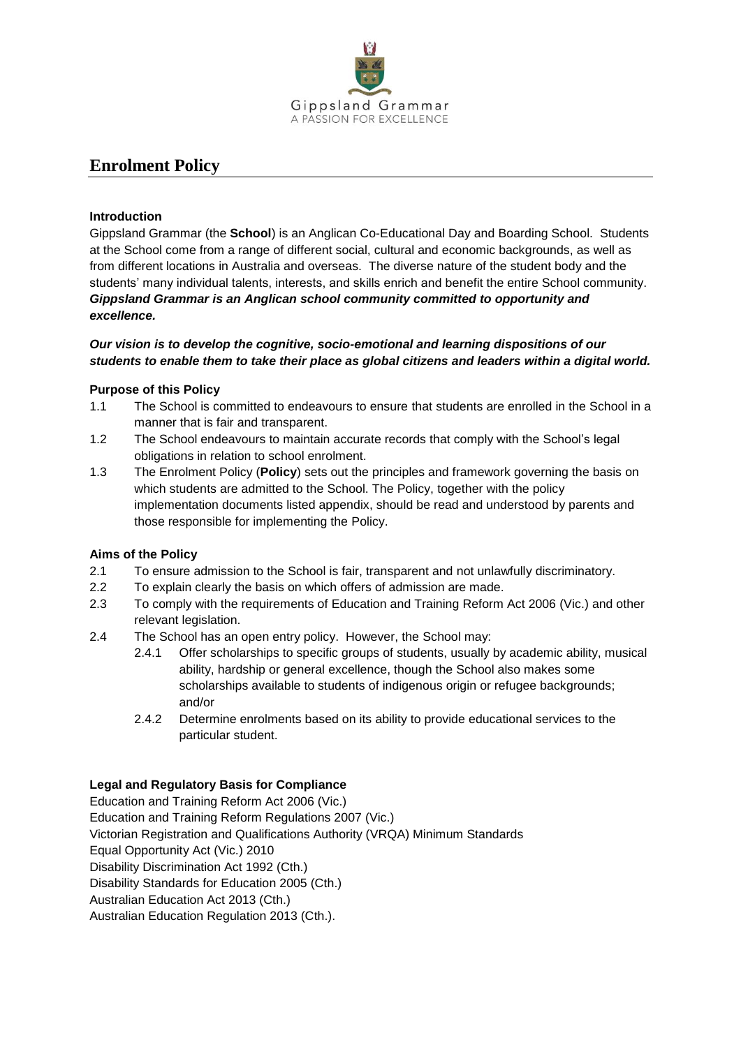

# **Enrolment Policy**

### **Introduction**

Gippsland Grammar (the **School**) is an Anglican Co-Educational Day and Boarding School. Students at the School come from a range of different social, cultural and economic backgrounds, as well as from different locations in Australia and overseas. The diverse nature of the student body and the students' many individual talents, interests, and skills enrich and benefit the entire School community. *Gippsland Grammar is an Anglican school community committed to opportunity and excellence.*

### *Our vision is to develop the cognitive, socio-emotional and learning dispositions of our students to enable them to take their place as global citizens and leaders within a digital world.*

### **Purpose of this Policy**

- 1.1 The School is committed to endeavours to ensure that students are enrolled in the School in a manner that is fair and transparent.
- 1.2 The School endeavours to maintain accurate records that comply with the School's legal obligations in relation to school enrolment.
- 1.3 The Enrolment Policy (**Policy**) sets out the principles and framework governing the basis on which students are admitted to the School. The Policy, together with the policy implementation documents listed appendix, should be read and understood by parents and those responsible for implementing the Policy.

#### **Aims of the Policy**

- 2.1 To ensure admission to the School is fair, transparent and not unlawfully discriminatory.
- 2.2 To explain clearly the basis on which offers of admission are made.
- 2.3 To comply with the requirements of Education and Training Reform Act 2006 (Vic.) and other relevant legislation.
- 2.4 The School has an open entry policy. However, the School may:
	- 2.4.1 Offer scholarships to specific groups of students, usually by academic ability, musical ability, hardship or general excellence, though the School also makes some scholarships available to students of indigenous origin or refugee backgrounds; and/or
	- 2.4.2 Determine enrolments based on its ability to provide educational services to the particular student.

# **Legal and Regulatory Basis for Compliance**

Education and Training Reform Act 2006 (Vic.) Education and Training Reform Regulations 2007 (Vic.) Victorian Registration and Qualifications Authority (VRQA) Minimum Standards Equal Opportunity Act (Vic.) 2010 Disability Discrimination Act 1992 (Cth.) Disability Standards for Education 2005 (Cth.) Australian Education Act 2013 (Cth.) Australian Education Regulation 2013 (Cth.).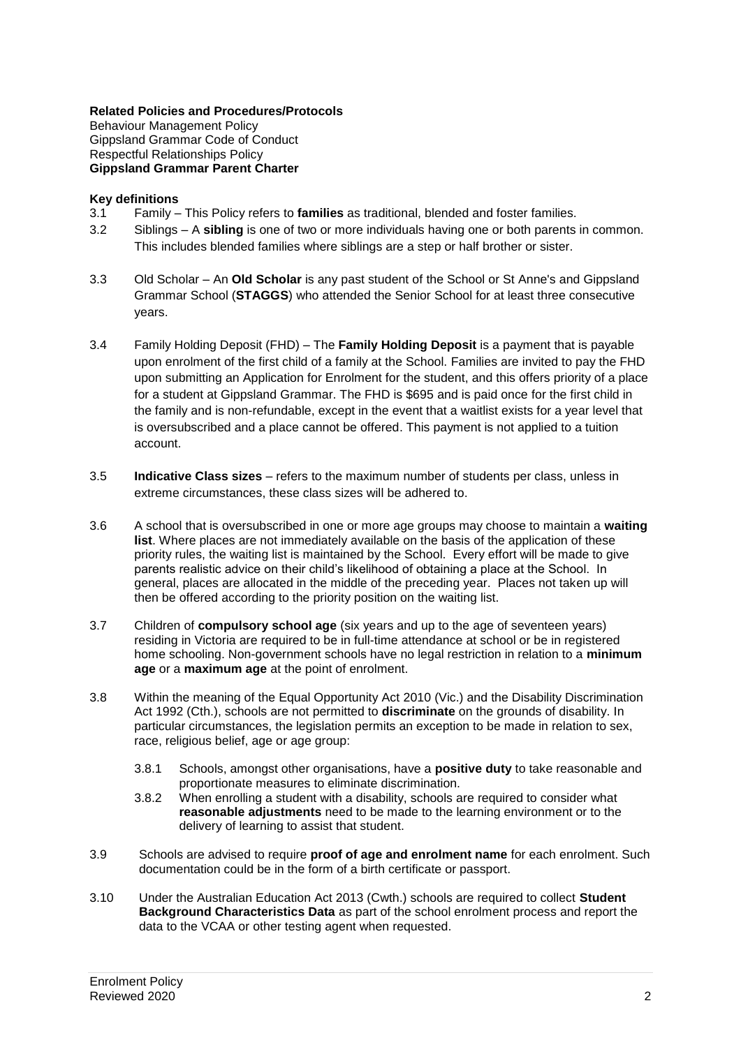#### **Related Policies and Procedures/Protocols**

Behaviour Management Policy Gippsland Grammar Code of Conduct Respectful Relationships Policy **Gippsland Grammar Parent Charter**

### **Key definitions**

- 3.1 Family This Policy refers to **families** as traditional, blended and foster families.
- 3.2 Siblings A **sibling** is one of two or more individuals having one or both parents in common. This includes blended families where siblings are a step or half brother or sister.
- 3.3 Old Scholar An **Old Scholar** is any past student of the School or St Anne's and Gippsland Grammar School (**STAGGS**) who attended the Senior School for at least three consecutive years.
- 3.4 Family Holding Deposit (FHD) The **Family Holding Deposit** is a payment that is payable upon enrolment of the first child of a family at the School. Families are invited to pay the FHD upon submitting an Application for Enrolment for the student, and this offers priority of a place for a student at Gippsland Grammar. The FHD is \$695 and is paid once for the first child in the family and is non-refundable, except in the event that a waitlist exists for a year level that is oversubscribed and a place cannot be offered. This payment is not applied to a tuition account.
- 3.5 **Indicative Class sizes** refers to the maximum number of students per class, unless in extreme circumstances, these class sizes will be adhered to.
- 3.6 A school that is oversubscribed in one or more age groups may choose to maintain a **waiting list**. Where places are not immediately available on the basis of the application of these priority rules, the waiting list is maintained by the School. Every effort will be made to give parents realistic advice on their child's likelihood of obtaining a place at the School. In general, places are allocated in the middle of the preceding year. Places not taken up will then be offered according to the priority position on the waiting list.
- 3.7 Children of **compulsory school age** (six years and up to the age of seventeen years) residing in Victoria are required to be in full-time attendance at school or be in registered home schooling. Non-government schools have no legal restriction in relation to a **minimum age** or a **maximum age** at the point of enrolment.
- 3.8 Within the meaning of the Equal Opportunity Act 2010 (Vic.) and the Disability Discrimination Act 1992 (Cth.), schools are not permitted to **discriminate** on the grounds of disability. In particular circumstances, the legislation permits an exception to be made in relation to sex, race, religious belief, age or age group:
	- 3.8.1 Schools, amongst other organisations, have a **positive duty** to take reasonable and proportionate measures to eliminate discrimination.
	- 3.8.2 When enrolling a student with a disability, schools are required to consider what **reasonable adjustments** need to be made to the learning environment or to the delivery of learning to assist that student.
- 3.9 Schools are advised to require **proof of age and enrolment name** for each enrolment. Such documentation could be in the form of a birth certificate or passport.
- 3.10 Under the Australian Education Act 2013 (Cwth.) schools are required to collect **Student Background Characteristics Data** as part of the school enrolment process and report the data to the VCAA or other testing agent when requested.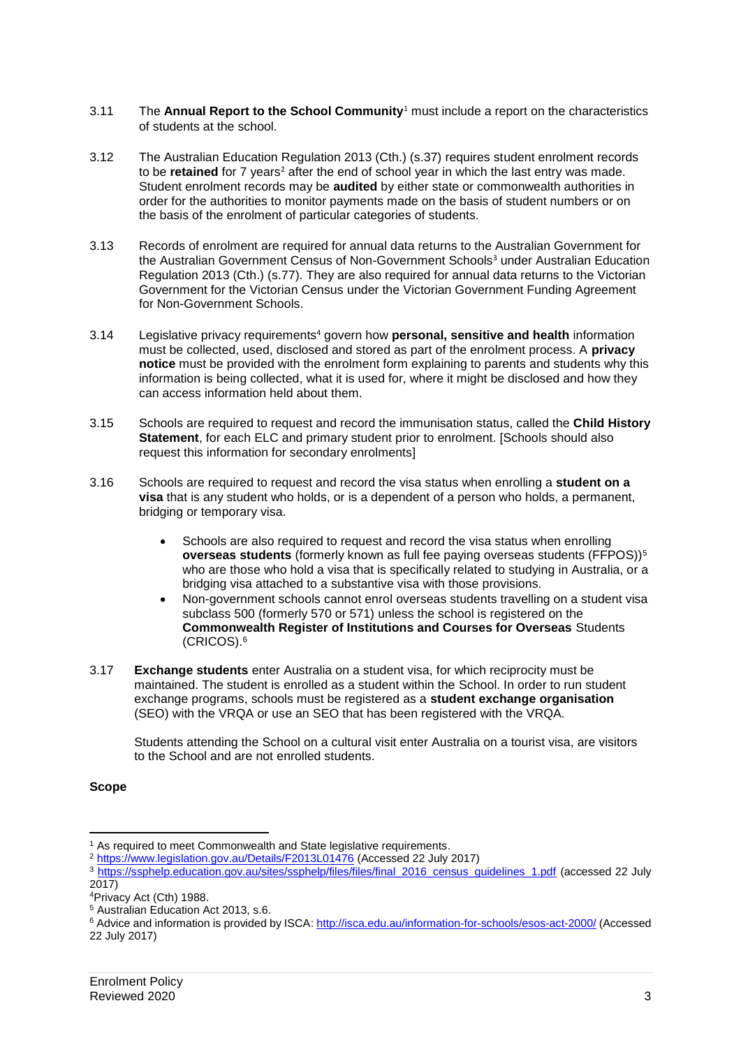- 3.11 The **Annual Report to the School Community**<sup>1</sup> must include a report on the characteristics of students at the school.
- 3.12 The Australian Education Regulation 2013 (Cth.) (s.37) requires student enrolment records to be **retained** for 7 years<sup>2</sup> after the end of school year in which the last entry was made. Student enrolment records may be **audited** by either state or commonwealth authorities in order for the authorities to monitor payments made on the basis of student numbers or on the basis of the enrolment of particular categories of students.
- 3.13 Records of enrolment are required for annual data returns to the Australian Government for the Australian Government Census of Non-Government Schools<sup>3</sup> under Australian Education Regulation 2013 (Cth.) (s.77). They are also required for annual data returns to the Victorian Government for the Victorian Census under the Victorian Government Funding Agreement for Non-Government Schools.
- 3.14 Legislative privacy requirements<sup>4</sup> govern how **personal, sensitive and health** information must be collected, used, disclosed and stored as part of the enrolment process. A **privacy notice** must be provided with the enrolment form explaining to parents and students why this information is being collected, what it is used for, where it might be disclosed and how they can access information held about them.
- 3.15 Schools are required to request and record the immunisation status, called the **Child History Statement**, for each ELC and primary student prior to enrolment. [Schools should also request this information for secondary enrolments]
- 3.16 Schools are required to request and record the visa status when enrolling a **student on a visa** that is any student who holds, or is a dependent of a person who holds, a permanent, bridging or temporary visa.
	- Schools are also required to request and record the visa status when enrolling **overseas students** (formerly known as full fee paying overseas students (FFPOS))<sup>5</sup> who are those who hold a visa that is specifically related to studying in Australia, or a bridging visa attached to a substantive visa with those provisions.
	- Non-government schools cannot enrol overseas students travelling on a student visa subclass 500 (formerly 570 or 571) unless the school is registered on the **Commonwealth Register of Institutions and Courses for Overseas** Students (CRICOS).<sup>6</sup>
- 3.17 **Exchange students** enter Australia on a student visa, for which reciprocity must be maintained. The student is enrolled as a student within the School. In order to run student exchange programs, schools must be registered as a **student exchange organisation** (SEO) with the VRQA or use an SEO that has been registered with the VRQA.

Students attending the School on a cultural visit enter Australia on a tourist visa, are visitors to the School and are not enrolled students.

**Scope**

1

<sup>&</sup>lt;sup>1</sup> As required to meet Commonwealth and State legislative requirements.

<sup>2</sup> <https://www.legislation.gov.au/Details/F2013L01476> (Accessed 22 July 2017)

<sup>3</sup> [https://ssphelp.education.gov.au/sites/ssphelp/files/files/final\\_2016\\_census\\_guidelines\\_1.pdf](https://ssphelp.education.gov.au/sites/ssphelp/files/files/final_2016_census_guidelines_1.pdf) (accessed 22 July 2017)

<sup>4</sup>Privacy Act (Cth) 1988.

<sup>5</sup> Australian Education Act 2013, s.6.

<sup>6</sup> Advice and information is provided by ISCA: <http://isca.edu.au/information-for-schools/esos-act-2000/> (Accessed 22 July 2017)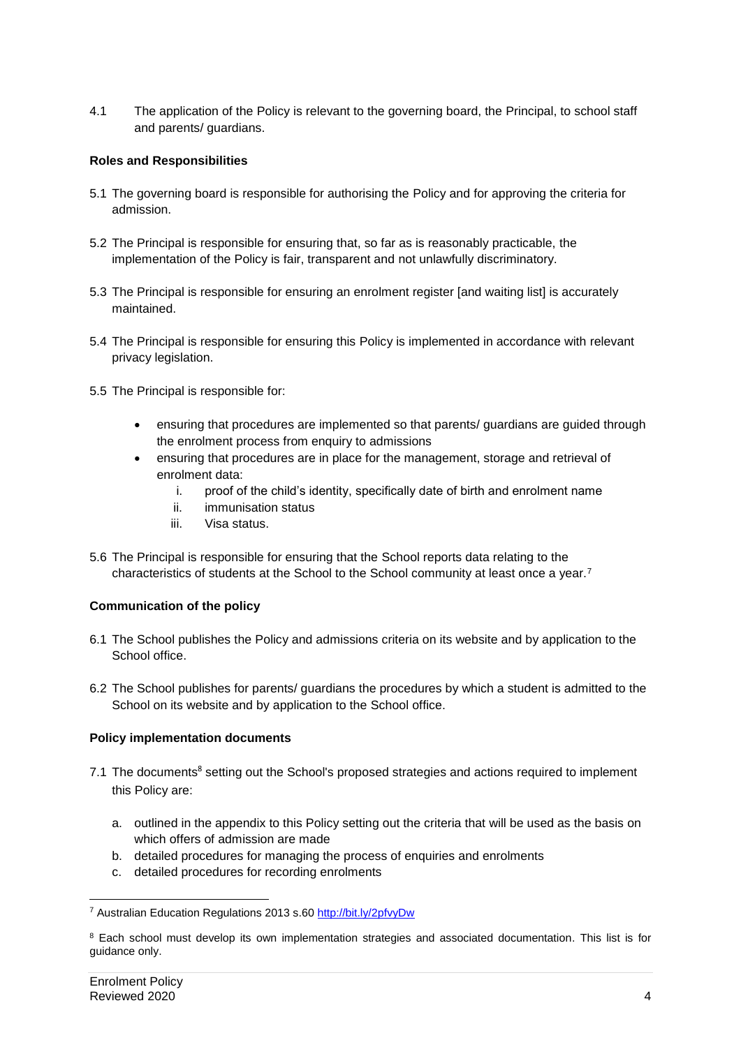4.1 The application of the Policy is relevant to the governing board, the Principal, to school staff and parents/ guardians.

### **Roles and Responsibilities**

- 5.1 The governing board is responsible for authorising the Policy and for approving the criteria for admission.
- 5.2 The Principal is responsible for ensuring that, so far as is reasonably practicable, the implementation of the Policy is fair, transparent and not unlawfully discriminatory.
- 5.3 The Principal is responsible for ensuring an enrolment register [and waiting list] is accurately maintained.
- 5.4 The Principal is responsible for ensuring this Policy is implemented in accordance with relevant privacy legislation.
- 5.5 The Principal is responsible for:
	- ensuring that procedures are implemented so that parents/ guardians are guided through the enrolment process from enquiry to admissions
	- ensuring that procedures are in place for the management, storage and retrieval of enrolment data:
		- i. proof of the child's identity, specifically date of birth and enrolment name
		- ii. immunisation status
		- iii. Visa status.
- 5.6 The Principal is responsible for ensuring that the School reports data relating to the characteristics of students at the School to the School community at least once a year.<sup>7</sup>

# **Communication of the policy**

- 6.1 The School publishes the Policy and admissions criteria on its website and by application to the School office.
- 6.2 The School publishes for parents/ guardians the procedures by which a student is admitted to the School on its website and by application to the School office.

# **Policy implementation documents**

- 7.1 The documents<sup>8</sup> setting out the School's proposed strategies and actions required to implement this Policy are:
	- a. outlined in the appendix to this Policy setting out the criteria that will be used as the basis on which offers of admission are made
	- b. detailed procedures for managing the process of enquiries and enrolments
	- c. detailed procedures for recording enrolments

<sup>1</sup> <sup>7</sup> Australian Education Regulations 2013 s.60<http://bit.ly/2pfvyDw>

<sup>&</sup>lt;sup>8</sup> Each school must develop its own implementation strategies and associated documentation. This list is for guidance only.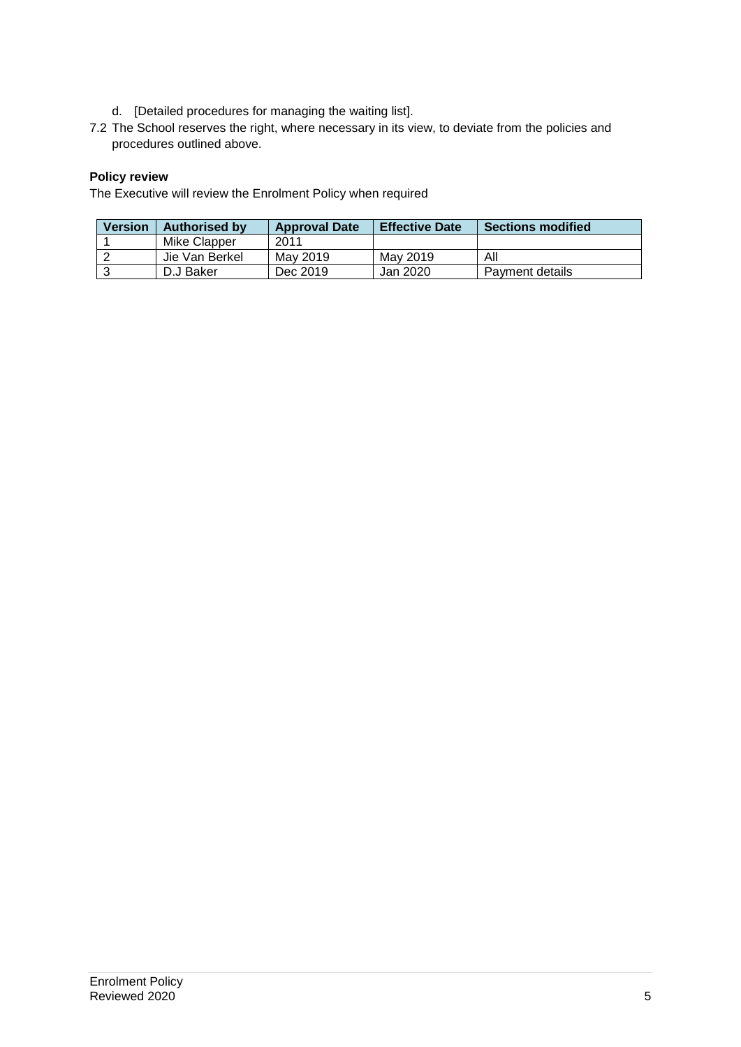- d. [Detailed procedures for managing the waiting list].
- 7.2 The School reserves the right, where necessary in its view, to deviate from the policies and procedures outlined above.

# **Policy review**

The Executive will review the Enrolment Policy when required

| <b>Version</b> | <b>Authorised by</b> | <b>Approval Date</b> | <b>Effective Date</b> | <b>Sections modified</b> |
|----------------|----------------------|----------------------|-----------------------|--------------------------|
|                | Mike Clapper         | 2011                 |                       |                          |
|                | Jie Van Berkel       | May 2019             | May 2019              | All                      |
|                | D.J Baker            | Dec 2019             | Jan 2020              | Payment details          |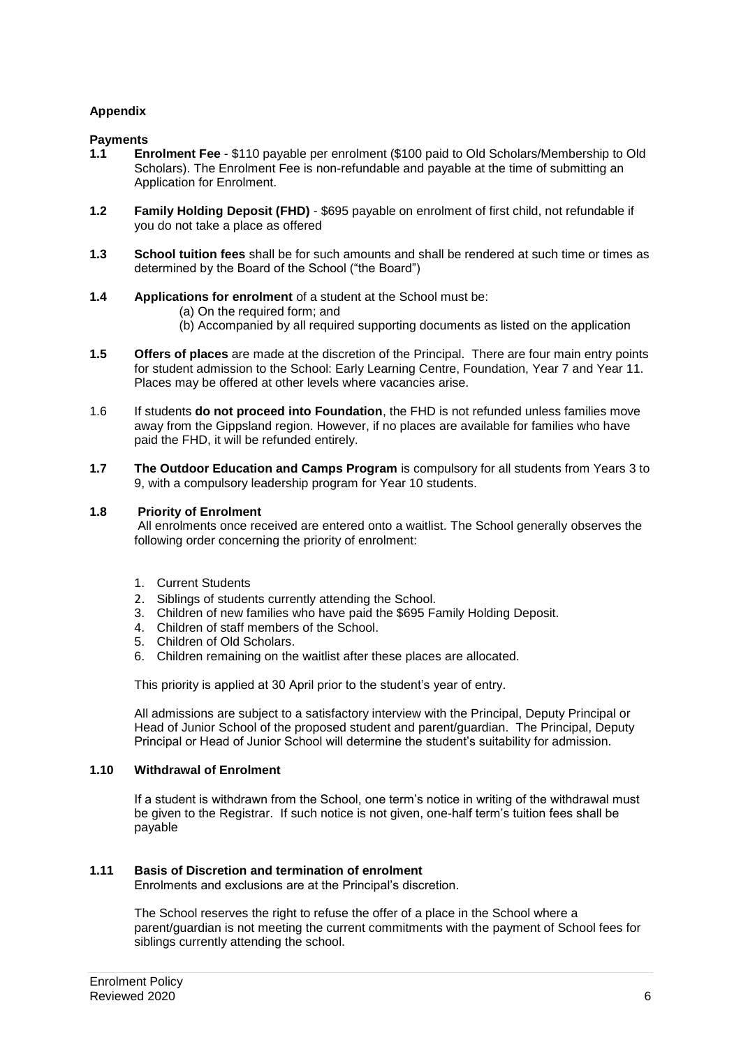# **Appendix**

### **Payments**

- **1.1 Enrolment Fee** \$110 payable per enrolment (\$100 paid to Old Scholars/Membership to Old Scholars). The Enrolment Fee is non-refundable and payable at the time of submitting an Application for Enrolment.
- **1.2 Family Holding Deposit (FHD)** \$695 payable on enrolment of first child, not refundable if you do not take a place as offered
- **1.3 School tuition fees** shall be for such amounts and shall be rendered at such time or times as determined by the Board of the School ("the Board")

### **1.4 Applications for enrolment** of a student at the School must be:

- (a) On the required form; and
- (b) Accompanied by all required supporting documents as listed on the application
- **1.5 Offers of places** are made at the discretion of the Principal. There are four main entry points for student admission to the School: Early Learning Centre, Foundation, Year 7 and Year 11. Places may be offered at other levels where vacancies arise.
- 1.6 If students **do not proceed into Foundation**, the FHD is not refunded unless families move away from the Gippsland region. However, if no places are available for families who have paid the FHD, it will be refunded entirely.
- **1.7 The Outdoor Education and Camps Program** is compulsory for all students from Years 3 to 9, with a compulsory leadership program for Year 10 students.

### **1.8 Priority of Enrolment**

All enrolments once received are entered onto a waitlist. The School generally observes the following order concerning the priority of enrolment:

- 1. Current Students
- 2. Siblings of students currently attending the School.
- 3. Children of new families who have paid the \$695 Family Holding Deposit.
- 4. Children of staff members of the School.
- 5. Children of Old Scholars.
- 6. Children remaining on the waitlist after these places are allocated.

This priority is applied at 30 April prior to the student's year of entry.

All admissions are subject to a satisfactory interview with the Principal, Deputy Principal or Head of Junior School of the proposed student and parent/guardian. The Principal, Deputy Principal or Head of Junior School will determine the student's suitability for admission.

#### **1.10 Withdrawal of Enrolment**

If a student is withdrawn from the School, one term's notice in writing of the withdrawal must be given to the Registrar. If such notice is not given, one-half term's tuition fees shall be payable

#### **1.11 Basis of Discretion and termination of enrolment**

Enrolments and exclusions are at the Principal's discretion.

The School reserves the right to refuse the offer of a place in the School where a parent/guardian is not meeting the current commitments with the payment of School fees for siblings currently attending the school.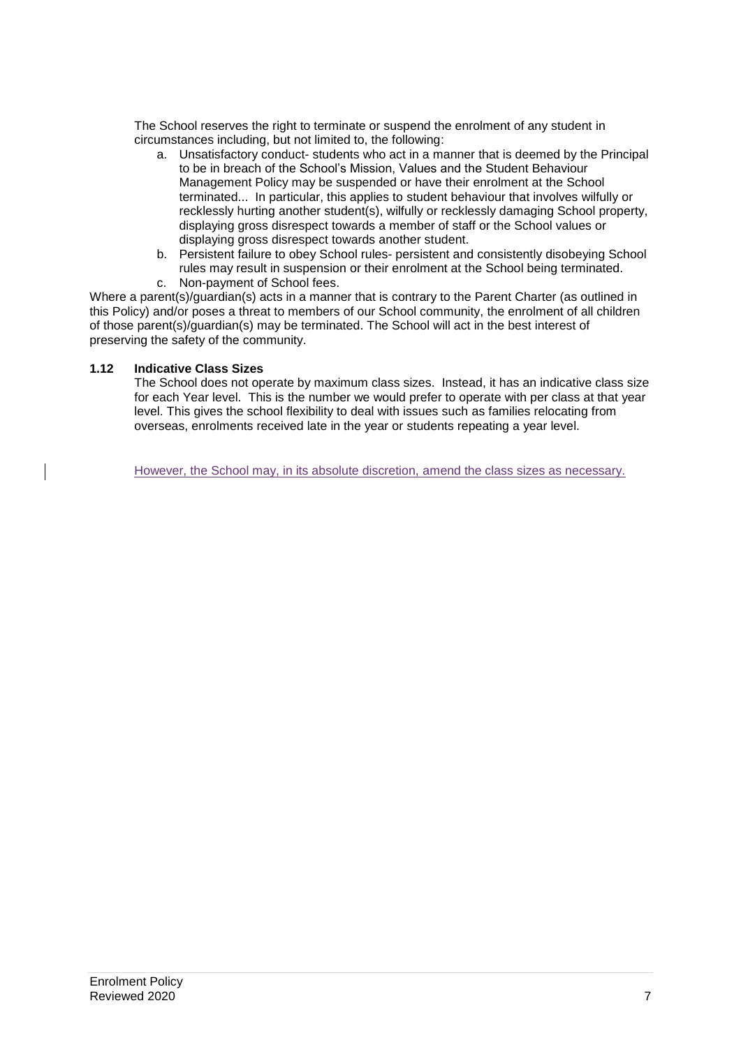The School reserves the right to terminate or suspend the enrolment of any student in circumstances including, but not limited to, the following:

- a. Unsatisfactory conduct- students who act in a manner that is deemed by the Principal to be in breach of the School's Mission, Values and the Student Behaviour Management Policy may be suspended or have their enrolment at the School terminated... In particular, this applies to student behaviour that involves wilfully or recklessly hurting another student(s), wilfully or recklessly damaging School property, displaying gross disrespect towards a member of staff or the School values or displaying gross disrespect towards another student.
- b. Persistent failure to obey School rules- persistent and consistently disobeying School rules may result in suspension or their enrolment at the School being terminated.
- c. Non-payment of School fees.

Where a parent(s)/guardian(s) acts in a manner that is contrary to the Parent Charter (as outlined in this Policy) and/or poses a threat to members of our School community, the enrolment of all children of those parent(s)/guardian(s) may be terminated. The School will act in the best interest of preserving the safety of the community.

# **1.12 Indicative Class Sizes**

The School does not operate by maximum class sizes. Instead, it has an indicative class size for each Year level. This is the number we would prefer to operate with per class at that year level. This gives the school flexibility to deal with issues such as families relocating from overseas, enrolments received late in the year or students repeating a year level.

However, the School may, in its absolute discretion, amend the class sizes as necessary.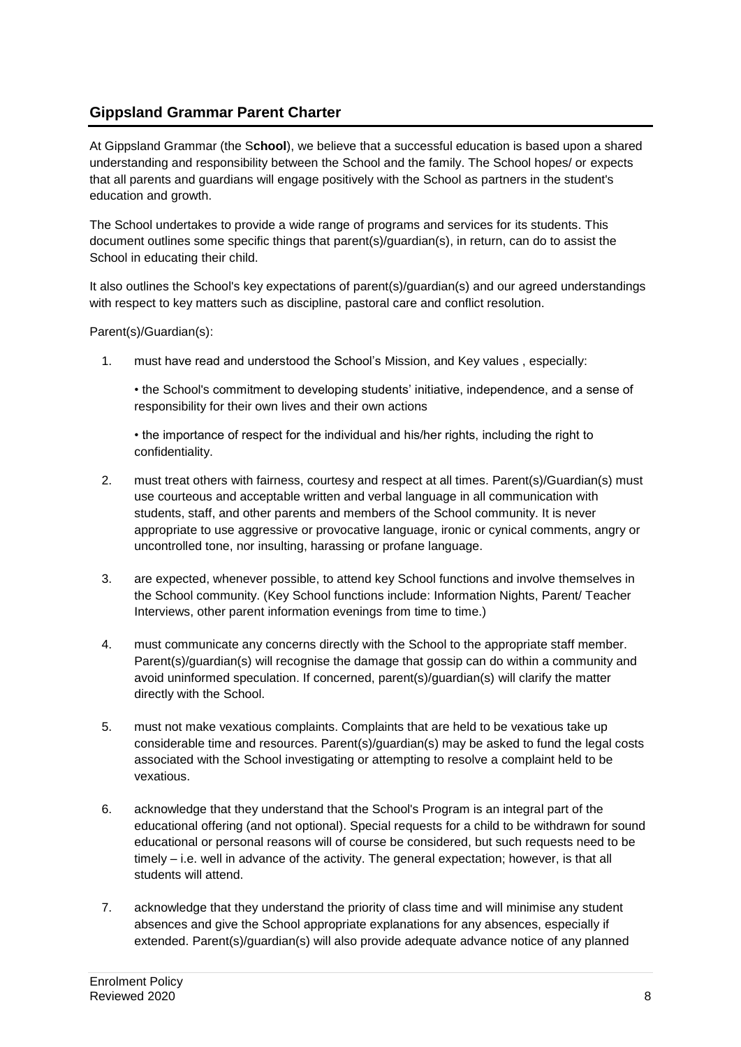# **Gippsland Grammar Parent Charter**

At Gippsland Grammar (the S**chool**), we believe that a successful education is based upon a shared understanding and responsibility between the School and the family. The School hopes/ or expects that all parents and guardians will engage positively with the School as partners in the student's education and growth.

The School undertakes to provide a wide range of programs and services for its students. This document outlines some specific things that parent(s)/guardian(s), in return, can do to assist the School in educating their child.

It also outlines the School's key expectations of parent(s)/guardian(s) and our agreed understandings with respect to key matters such as discipline, pastoral care and conflict resolution.

### Parent(s)/Guardian(s):

1. must have read and understood the School's Mission, and Key values , especially:

• the School's commitment to developing students' initiative, independence, and a sense of responsibility for their own lives and their own actions

• the importance of respect for the individual and his/her rights, including the right to confidentiality.

- 2. must treat others with fairness, courtesy and respect at all times. Parent(s)/Guardian(s) must use courteous and acceptable written and verbal language in all communication with students, staff, and other parents and members of the School community. It is never appropriate to use aggressive or provocative language, ironic or cynical comments, angry or uncontrolled tone, nor insulting, harassing or profane language.
- 3. are expected, whenever possible, to attend key School functions and involve themselves in the School community. (Key School functions include: Information Nights, Parent/ Teacher Interviews, other parent information evenings from time to time.)
- 4. must communicate any concerns directly with the School to the appropriate staff member. Parent(s)/guardian(s) will recognise the damage that gossip can do within a community and avoid uninformed speculation. If concerned, parent(s)/guardian(s) will clarify the matter directly with the School.
- 5. must not make vexatious complaints. Complaints that are held to be vexatious take up considerable time and resources. Parent(s)/guardian(s) may be asked to fund the legal costs associated with the School investigating or attempting to resolve a complaint held to be vexatious.
- 6. acknowledge that they understand that the School's Program is an integral part of the educational offering (and not optional). Special requests for a child to be withdrawn for sound educational or personal reasons will of course be considered, but such requests need to be timely – i.e. well in advance of the activity. The general expectation; however, is that all students will attend.
- 7. acknowledge that they understand the priority of class time and will minimise any student absences and give the School appropriate explanations for any absences, especially if extended. Parent(s)/guardian(s) will also provide adequate advance notice of any planned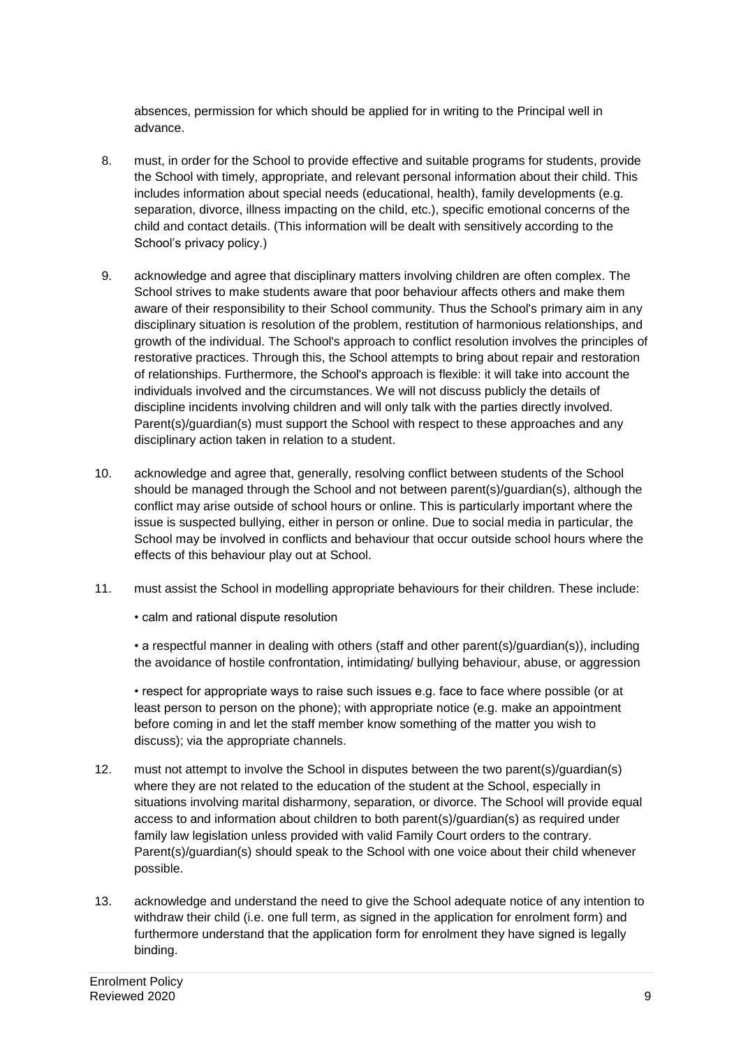absences, permission for which should be applied for in writing to the Principal well in advance.

- 8. must, in order for the School to provide effective and suitable programs for students, provide the School with timely, appropriate, and relevant personal information about their child. This includes information about special needs (educational, health), family developments (e.g. separation, divorce, illness impacting on the child, etc.), specific emotional concerns of the child and contact details. (This information will be dealt with sensitively according to the School's privacy policy.)
- 9. acknowledge and agree that disciplinary matters involving children are often complex. The School strives to make students aware that poor behaviour affects others and make them aware of their responsibility to their School community. Thus the School's primary aim in any disciplinary situation is resolution of the problem, restitution of harmonious relationships, and growth of the individual. The School's approach to conflict resolution involves the principles of restorative practices. Through this, the School attempts to bring about repair and restoration of relationships. Furthermore, the School's approach is flexible: it will take into account the individuals involved and the circumstances. We will not discuss publicly the details of discipline incidents involving children and will only talk with the parties directly involved. Parent(s)/guardian(s) must support the School with respect to these approaches and any disciplinary action taken in relation to a student.
- 10. acknowledge and agree that, generally, resolving conflict between students of the School should be managed through the School and not between parent(s)/guardian(s), although the conflict may arise outside of school hours or online. This is particularly important where the issue is suspected bullying, either in person or online. Due to social media in particular, the School may be involved in conflicts and behaviour that occur outside school hours where the effects of this behaviour play out at School.
- 11. must assist the School in modelling appropriate behaviours for their children. These include:
	- calm and rational dispute resolution

• a respectful manner in dealing with others (staff and other parent(s)/guardian(s)), including the avoidance of hostile confrontation, intimidating/ bullying behaviour, abuse, or aggression

• respect for appropriate ways to raise such issues e.g. face to face where possible (or at least person to person on the phone); with appropriate notice (e.g. make an appointment before coming in and let the staff member know something of the matter you wish to discuss); via the appropriate channels.

- 12. must not attempt to involve the School in disputes between the two parent(s)/guardian(s) where they are not related to the education of the student at the School, especially in situations involving marital disharmony, separation, or divorce. The School will provide equal access to and information about children to both parent(s)/guardian(s) as required under family law legislation unless provided with valid Family Court orders to the contrary. Parent(s)/guardian(s) should speak to the School with one voice about their child whenever possible.
- 13. acknowledge and understand the need to give the School adequate notice of any intention to withdraw their child (i.e. one full term, as signed in the application for enrolment form) and furthermore understand that the application form for enrolment they have signed is legally binding.